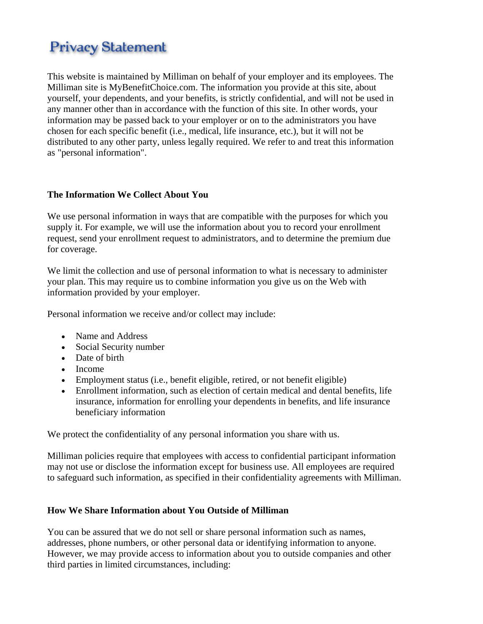# **Privacy Statement**

This website is maintained by Milliman on behalf of your employer and its employees. The Milliman site is MyBenefitChoice.com. The information you provide at this site, about yourself, your dependents, and your benefits, is strictly confidential, and will not be used in any manner other than in accordance with the function of this site. In other words, your information may be passed back to your employer or on to the administrators you have chosen for each specific benefit (i.e., medical, life insurance, etc.), but it will not be distributed to any other party, unless legally required. We refer to and treat this information as "personal information".

# **The Information We Collect About You**

We use personal information in ways that are compatible with the purposes for which you supply it. For example, we will use the information about you to record your enrollment request, send your enrollment request to administrators, and to determine the premium due for coverage.

We limit the collection and use of personal information to what is necessary to administer your plan. This may require us to combine information you give us on the Web with information provided by your employer.

Personal information we receive and/or collect may include:

- Name and Address
- Social Security number
- Date of birth
- Income
- Employment status (i.e., benefit eligible, retired, or not benefit eligible)
- Enrollment information, such as election of certain medical and dental benefits, life insurance, information for enrolling your dependents in benefits, and life insurance beneficiary information

We protect the confidentiality of any personal information you share with us.

Milliman policies require that employees with access to confidential participant information may not use or disclose the information except for business use. All employees are required to safeguard such information, as specified in their confidentiality agreements with Milliman.

# **How We Share Information about You Outside of Milliman**

You can be assured that we do not sell or share personal information such as names, addresses, phone numbers, or other personal data or identifying information to anyone. However, we may provide access to information about you to outside companies and other third parties in limited circumstances, including: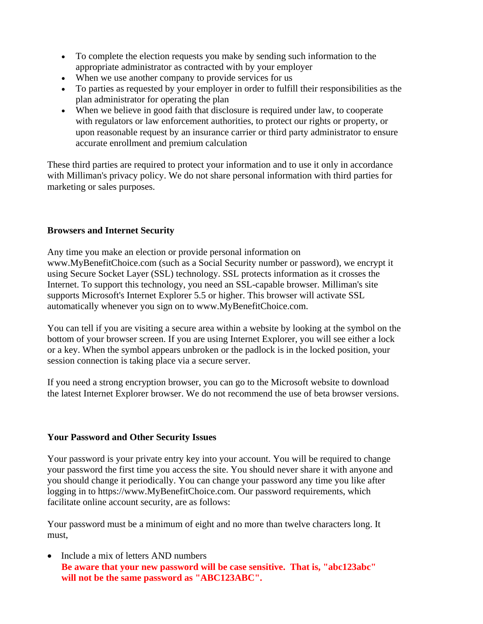- To complete the election requests you make by sending such information to the appropriate administrator as contracted with by your employer
- When we use another company to provide services for us
- To parties as requested by your employer in order to fulfill their responsibilities as the plan administrator for operating the plan
- When we believe in good faith that disclosure is required under law, to cooperate with regulators or law enforcement authorities, to protect our rights or property, or upon reasonable request by an insurance carrier or third party administrator to ensure accurate enrollment and premium calculation

These third parties are required to protect your information and to use it only in accordance with Milliman's privacy policy. We do not share personal information with third parties for marketing or sales purposes.

# **Browsers and Internet Security**

Any time you make an election or provide personal information on www.MyBenefitChoice.com (such as a Social Security number or password), we encrypt it using Secure Socket Layer (SSL) technology. SSL protects information as it crosses the Internet. To support this technology, you need an SSL-capable browser. Milliman's site supports Microsoft's Internet Explorer 5.5 or higher. This browser will activate SSL automatically whenever you sign on to www.MyBenefitChoice.com.

You can tell if you are visiting a secure area within a website by looking at the symbol on the bottom of your browser screen. If you are using Internet Explorer, you will see either a lock or a key. When the symbol appears unbroken or the padlock is in the locked position, your session connection is taking place via a secure server.

If you need a strong encryption browser, you can go to the Microsoft website to download the latest Internet Explorer browser. We do not recommend the use of beta browser versions.

# **Your Password and Other Security Issues**

Your password is your private entry key into your account. You will be required to change your password the first time you access the site. You should never share it with anyone and you should change it periodically. You can change your password any time you like after logging in to https://www.MyBenefitChoice.com. Our password requirements, which facilitate online account security, are as follows:

Your password must be a minimum of eight and no more than twelve characters long. It must,

• Include a mix of letters AND numbers **Be aware that your new password will be case sensitive. That is, "abc123abc" will not be the same password as "ABC123ABC".**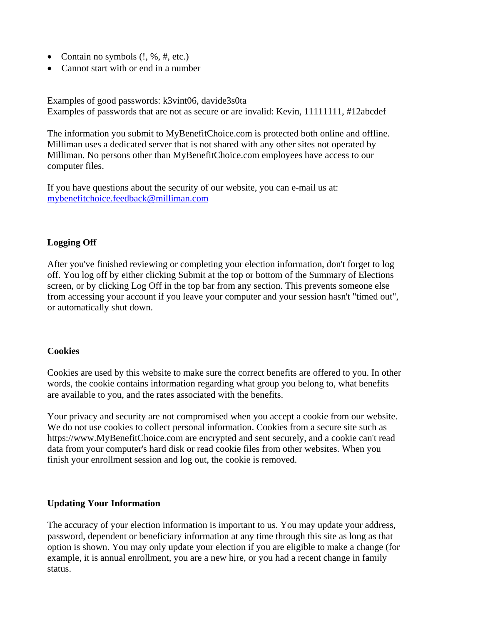- Contain no symbols  $(l, \mathcal{C}, \#, \text{etc.})$
- Cannot start with or end in a number

Examples of good passwords: k3vint06, davide3s0ta Examples of passwords that are not as secure or are invalid: Kevin, 11111111, #12abcdef

The information you submit to MyBenefitChoice.com is protected both online and offline. Milliman uses a dedicated server that is not shared with any other sites not operated by Milliman. No persons other than MyBenefitChoice.com employees have access to our computer files.

If you have questions about the security of our website, you can e-mail us at: mybenefitchoice.feedback@milliman.com

# **Logging Off**

After you've finished reviewing or completing your election information, don't forget to log off. You log off by either clicking Submit at the top or bottom of the Summary of Elections screen, or by clicking Log Off in the top bar from any section. This prevents someone else from accessing your account if you leave your computer and your session hasn't "timed out", or automatically shut down.

#### **Cookies**

Cookies are used by this website to make sure the correct benefits are offered to you. In other words, the cookie contains information regarding what group you belong to, what benefits are available to you, and the rates associated with the benefits.

Your privacy and security are not compromised when you accept a cookie from our website. We do not use cookies to collect personal information. Cookies from a secure site such as https://www.MyBenefitChoice.com are encrypted and sent securely, and a cookie can't read data from your computer's hard disk or read cookie files from other websites. When you finish your enrollment session and log out, the cookie is removed.

#### **Updating Your Information**

The accuracy of your election information is important to us. You may update your address, password, dependent or beneficiary information at any time through this site as long as that option is shown. You may only update your election if you are eligible to make a change (for example, it is annual enrollment, you are a new hire, or you had a recent change in family status.